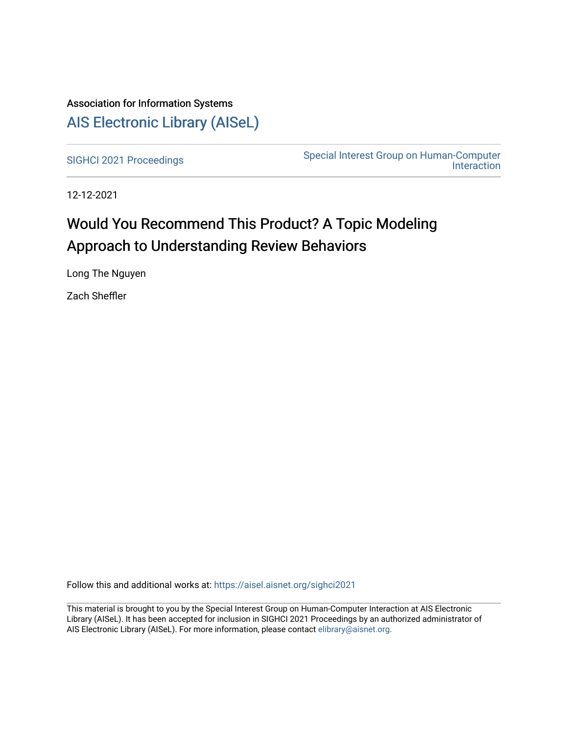# Association for Information Systems [AIS Electronic Library \(AISeL\)](https://aisel.aisnet.org/)

[SIGHCI 2021 Proceedings](https://aisel.aisnet.org/sighci2021)<br>
Special Interest Group on Human-Computer [Interaction](https://aisel.aisnet.org/sighci) 

12-12-2021

# Would You Recommend This Product? A Topic Modeling Approach to Understanding Review Behaviors

Long The Nguyen

Zach Sheffler

Follow this and additional works at: [https://aisel.aisnet.org/sighci2021](https://aisel.aisnet.org/sighci2021?utm_source=aisel.aisnet.org%2Fsighci2021%2F16&utm_medium=PDF&utm_campaign=PDFCoverPages) 

This material is brought to you by the Special Interest Group on Human-Computer Interaction at AIS Electronic Library (AISeL). It has been accepted for inclusion in SIGHCI 2021 Proceedings by an authorized administrator of AIS Electronic Library (AISeL). For more information, please contact [elibrary@aisnet.org](mailto:elibrary@aisnet.org%3E).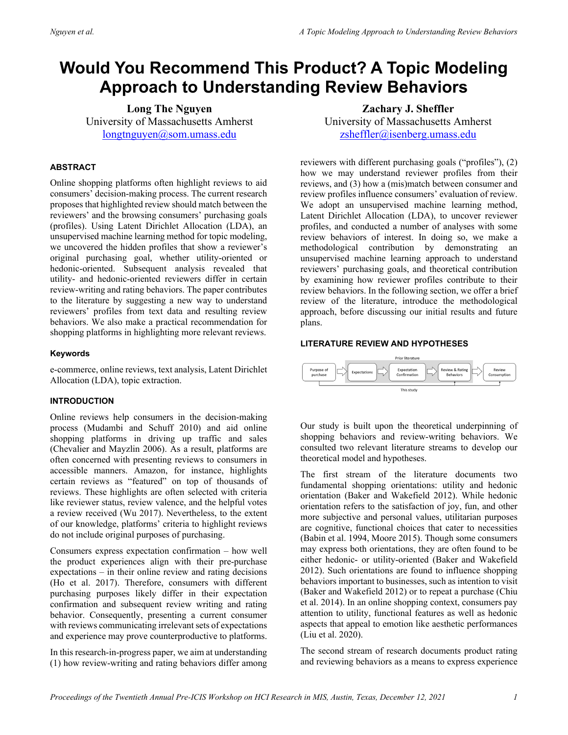# **Would You Recommend This Product? A Topic Modeling Approach to Understanding Review Behaviors**

**Long The Nguyen** University of Massachusetts Amherst [longtnguyen@som.umass.edu](mailto:longtnguyen@som.umass.edu) 

# **ABSTRACT**

Online shopping platforms often highlight reviews to aid consumers' decision-making process. The current research proposes that highlighted review should match between the reviewers' and the browsing consumers' purchasing goals (profiles). Using Latent Dirichlet Allocation (LDA), an unsupervised machine learning method for topic modeling, we uncovered the hidden profiles that show a reviewer's original purchasing goal, whether utility-oriented or hedonic-oriented. Subsequent analysis revealed that utility- and hedonic-oriented reviewers differ in certain review-writing and rating behaviors. The paper contributes to the literature by suggesting a new way to understand reviewers' profiles from text data and resulting review behaviors. We also make a practical recommendation for shopping platforms in highlighting more relevant reviews.

## **Keywords**

e-commerce, online reviews, text analysis, Latent Dirichlet Allocation (LDA), topic extraction.

# **INTRODUCTION**

Online reviews help consumers in the decision-making process (Mudambi and Schuff 2010) and aid online shopping platforms in driving up traffic and sales (Chevalier and Mayzlin 2006). As a result, platforms are often concerned with presenting reviews to consumers in accessible manners. Amazon, for instance, highlights certain reviews as "featured" on top of thousands of reviews. These highlights are often selected with criteria like reviewer status, review valence, and the helpful votes a review received (Wu 2017). Nevertheless, to the extent of our knowledge, platforms' criteria to highlight reviews do not include original purposes of purchasing.

Consumers express expectation confirmation – how well the product experiences align with their pre-purchase expectations – in their online review and rating decisions (Ho et al. 2017). Therefore, consumers with different purchasing purposes likely differ in their expectation confirmation and subsequent review writing and rating behavior. Consequently, presenting a current consumer with reviews communicating irrelevant sets of expectations and experience may prove counterproductive to platforms.

In this research-in-progress paper, we aim at understanding (1) how review-writing and rating behaviors differ among

**Zachary J. Sheffler** University of Massachusetts Amherst [zsheffler@isenberg.umass.edu](mailto:zsheffler@isenberg.umass.edu) 

reviewers with different purchasing goals ("profiles"), (2) how we may understand reviewer profiles from their reviews, and (3) how a (mis)match between consumer and review profiles influence consumers' evaluation of review. We adopt an unsupervised machine learning method, Latent Dirichlet Allocation (LDA), to uncover reviewer profiles, and conducted a number of analyses with some review behaviors of interest. In doing so, we make a methodological contribution by demonstrating an unsupervised machine learning approach to understand reviewers' purchasing goals, and theoretical contribution by examining how reviewer profiles contribute to their review behaviors. In the following section, we offer a brief review of the literature, introduce the methodological approach, before discussing our initial results and future plans.

## **LITERATURE REVIEW AND HYPOTHESES**



Our study is built upon the theoretical underpinning of shopping behaviors and review-writing behaviors. We consulted two relevant literature streams to develop our theoretical model and hypotheses.

The first stream of the literature documents two fundamental shopping orientations: utility and hedonic orientation (Baker and Wakefield 2012). While hedonic orientation refers to the satisfaction of joy, fun, and other more subjective and personal values, utilitarian purposes are cognitive, functional choices that cater to necessities (Babin et al. 1994, Moore 2015). Though some consumers may express both orientations, they are often found to be either hedonic- or utility-oriented (Baker and Wakefield 2012). Such orientations are found to influence shopping behaviors important to businesses, such as intention to visit (Baker and Wakefield 2012) or to repeat a purchase (Chiu et al. 2014). In an online shopping context, consumers pay attention to utility, functional features as well as hedonic aspects that appeal to emotion like aesthetic performances (Liu et al. 2020).

The second stream of research documents product rating and reviewing behaviors as a means to express experience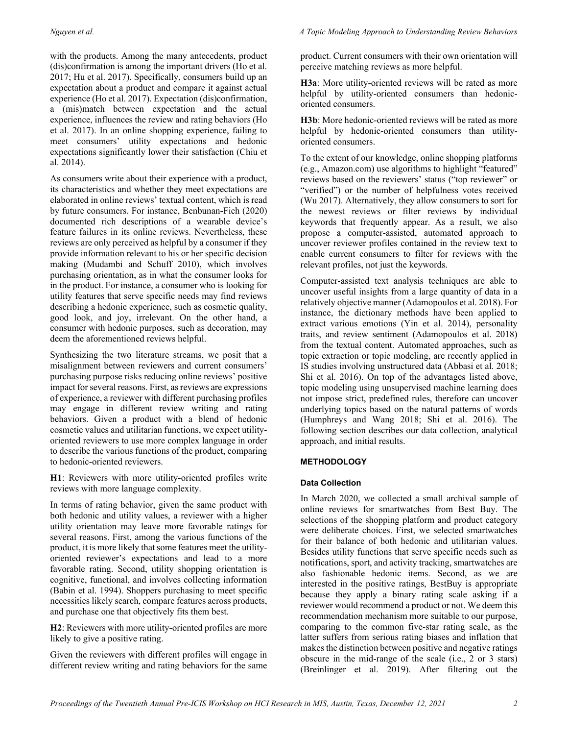with the products. Among the many antecedents, product (dis)confirmation is among the important drivers (Ho et al. 2017; Hu et al. 2017). Specifically, consumers build up an expectation about a product and compare it against actual experience (Ho et al. 2017). Expectation (dis)confirmation, a (mis)match between expectation and the actual experience, influences the review and rating behaviors (Ho et al. 2017). In an online shopping experience, failing to meet consumers' utility expectations and hedonic expectations significantly lower their satisfaction (Chiu et al. 2014).

As consumers write about their experience with a product, its characteristics and whether they meet expectations are elaborated in online reviews' textual content, which is read by future consumers. For instance, Benbunan-Fich (2020) documented rich descriptions of a wearable device's feature failures in its online reviews. Nevertheless, these reviews are only perceived as helpful by a consumer if they provide information relevant to his or her specific decision making (Mudambi and Schuff 2010), which involves purchasing orientation, as in what the consumer looks for in the product. For instance, a consumer who is looking for utility features that serve specific needs may find reviews describing a hedonic experience, such as cosmetic quality, good look, and joy, irrelevant. On the other hand, a consumer with hedonic purposes, such as decoration, may deem the aforementioned reviews helpful.

Synthesizing the two literature streams, we posit that a misalignment between reviewers and current consumers' purchasing purpose risks reducing online reviews' positive impact for several reasons. First, as reviews are expressions of experience, a reviewer with different purchasing profiles may engage in different review writing and rating behaviors. Given a product with a blend of hedonic cosmetic values and utilitarian functions, we expect utilityoriented reviewers to use more complex language in order to describe the various functions of the product, comparing to hedonic-oriented reviewers.

**H1**: Reviewers with more utility-oriented profiles write reviews with more language complexity.

In terms of rating behavior, given the same product with both hedonic and utility values, a reviewer with a higher utility orientation may leave more favorable ratings for several reasons. First, among the various functions of the product, it is more likely that some features meet the utilityoriented reviewer's expectations and lead to a more favorable rating. Second, utility shopping orientation is cognitive, functional, and involves collecting information (Babin et al. 1994). Shoppers purchasing to meet specific necessities likely search, compare features across products, and purchase one that objectively fits them best.

**H2**: Reviewers with more utility-oriented profiles are more likely to give a positive rating.

Given the reviewers with different profiles will engage in different review writing and rating behaviors for the same

product. Current consumers with their own orientation will perceive matching reviews as more helpful.

**H3a**: More utility-oriented reviews will be rated as more helpful by utility-oriented consumers than hedonicoriented consumers.

**H3b**: More hedonic-oriented reviews will be rated as more helpful by hedonic-oriented consumers than utilityoriented consumers.

To the extent of our knowledge, online shopping platforms (e.g., Amazon.com) use algorithms to highlight "featured" reviews based on the reviewers' status ("top reviewer" or "verified") or the number of helpfulness votes received (Wu 2017). Alternatively, they allow consumers to sort for the newest reviews or filter reviews by individual keywords that frequently appear. As a result, we also propose a computer-assisted, automated approach to uncover reviewer profiles contained in the review text to enable current consumers to filter for reviews with the relevant profiles, not just the keywords.

Computer-assisted text analysis techniques are able to uncover useful insights from a large quantity of data in a relatively objective manner (Adamopoulos et al. 2018). For instance, the dictionary methods have been applied to extract various emotions (Yin et al. 2014), personality traits, and review sentiment (Adamopoulos et al. 2018) from the textual content. Automated approaches, such as topic extraction or topic modeling, are recently applied in IS studies involving unstructured data (Abbasi et al. 2018; Shi et al. 2016). On top of the advantages listed above, topic modeling using unsupervised machine learning does not impose strict, predefined rules, therefore can uncover underlying topics based on the natural patterns of words (Humphreys and Wang 2018; Shi et al. 2016). The following section describes our data collection, analytical approach, and initial results.

## **METHODOLOGY**

## **Data Collection**

In March 2020, we collected a small archival sample of online reviews for smartwatches from Best Buy. The selections of the shopping platform and product category were deliberate choices. First, we selected smartwatches for their balance of both hedonic and utilitarian values. Besides utility functions that serve specific needs such as notifications, sport, and activity tracking, smartwatches are also fashionable hedonic items. Second, as we are interested in the positive ratings, BestBuy is appropriate because they apply a binary rating scale asking if a reviewer would recommend a product or not. We deem this recommendation mechanism more suitable to our purpose, comparing to the common five-star rating scale, as the latter suffers from serious rating biases and inflation that makes the distinction between positive and negative ratings obscure in the mid-range of the scale (i.e., 2 or 3 stars) (Breinlinger et al. 2019). After filtering out the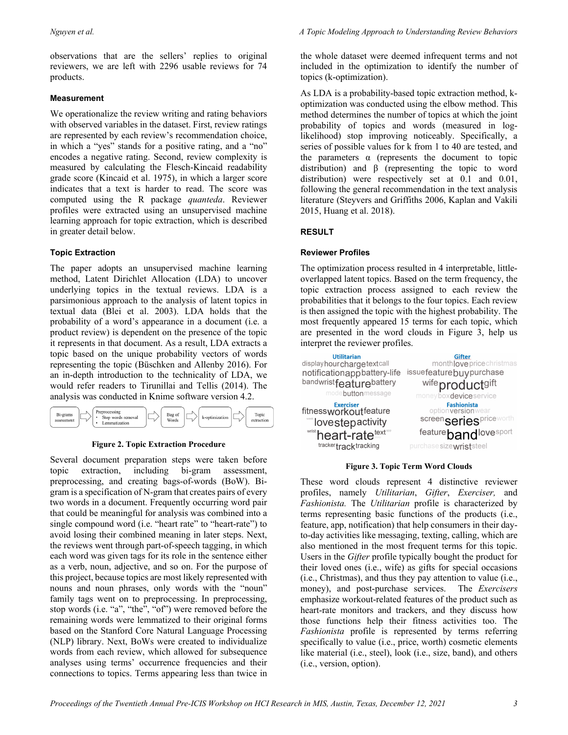observations that are the sellers' replies to original reviewers, we are left with 2296 usable reviews for 74 products.

# **Measurement**

We operationalize the review writing and rating behaviors with observed variables in the dataset. First, review ratings are represented by each review's recommendation choice, in which a "yes" stands for a positive rating, and a "no" encodes a negative rating. Second, review complexity is measured by calculating the Flesch-Kincaid readability grade score (Kincaid et al. 1975), in which a larger score indicates that a text is harder to read. The score was computed using the R package *quanteda*. Reviewer profiles were extracted using an unsupervised machine learning approach for topic extraction, which is described in greater detail below.

# **Topic Extraction**

The paper adopts an unsupervised machine learning method, Latent Dirichlet Allocation (LDA) to uncover underlying topics in the textual reviews. LDA is a parsimonious approach to the analysis of latent topics in textual data (Blei et al. 2003). LDA holds that the probability of a word's appearance in a document (i.e. a product review) is dependent on the presence of the topic it represents in that document. As a result, LDA extracts a topic based on the unique probability vectors of words representing the topic (Büschken and Allenby 2016). For an in-depth introduction to the technicality of LDA, we would refer readers to Tirunillai and Tellis (2014). The analysis was conducted in Knime software version 4.2.



## **Figure 2. Topic Extraction Procedure**

Several document preparation steps were taken before topic extraction, including bi-gram assessment, preprocessing, and creating bags-of-words (BoW). Bigram is a specification of N-gram that creates pairs of every two words in a document. Frequently occurring word pair that could be meaningful for analysis was combined into a single compound word (i.e. "heart rate" to "heart-rate") to avoid losing their combined meaning in later steps. Next, the reviews went through part-of-speech tagging, in which each word was given tags for its role in the sentence either as a verb, noun, adjective, and so on. For the purpose of this project, because topics are most likely represented with nouns and noun phrases, only words with the "noun" family tags went on to preprocessing. In preprocessing, stop words (i.e. "a", "the", "of") were removed before the remaining words were lemmatized to their original forms based on the Stanford Core Natural Language Processing (NLP) library. Next, BoWs were created to individualize words from each review, which allowed for subsequence analyses using terms' occurrence frequencies and their connections to topics. Terms appearing less than twice in

the whole dataset were deemed infrequent terms and not included in the optimization to identify the number of topics (k-optimization).

As LDA is a probability-based topic extraction method, koptimization was conducted using the elbow method. This method determines the number of topics at which the joint probability of topics and words (measured in loglikelihood) stop improving noticeably. Specifically, a series of possible values for k from 1 to 40 are tested, and the parameters α (represents the document to topic distribution) and β (representing the topic to word distribution) were respectively set at 0.1 and 0.01, following the general recommendation in the text analysis literature (Steyvers and Griffiths 2006, Kaplan and Vakili 2015, Huang et al. 2018).

# **RESULT**

# **Reviewer Profiles**

The optimization process resulted in 4 interpretable, littleoverlapped latent topics. Based on the term frequency, the topic extraction process assigned to each review the probabilities that it belongs to the four topics. Each review is then assigned the topic with the highest probability. The most frequently appeared 15 terms for each topic, which are presented in the word clouds in Figure 3, help us interpret the reviewer profiles.

| <b>Utilitarian</b>                                                                                               | <b>Gifter</b>                                                                                                                                 |
|------------------------------------------------------------------------------------------------------------------|-----------------------------------------------------------------------------------------------------------------------------------------------|
| displayhourchargetextcall                                                                                        | month love price christmas                                                                                                                    |
| notificationappbattery-life                                                                                      | issuefeaturebuypurchase                                                                                                                       |
| bandwrist featurebattery                                                                                         | wife productgift                                                                                                                              |
| modebuttonmessage                                                                                                | money boxdevice service                                                                                                                       |
| Exerciser<br>fitnessworkoutfeature<br><b>MOVEStepactivity</b><br>wrist heart-rate text<br>tracker track tracking | <b>Fashionista</b><br>optionversionwear<br>screen <sub>Series<sup>priceworth</sup></sub><br>feature bandlove sport<br>purchase sizewriststeel |

**Figure 3. Topic Term Word Clouds**

These word clouds represent 4 distinctive reviewer profiles, namely *Utilitarian*, *Gifter*, *Exerciser,* and *Fashionista.* The *Utilitarian* profile is characterized by terms representing basic functions of the products (i.e., feature, app, notification) that help consumers in their dayto-day activities like messaging, texting, calling, which are also mentioned in the most frequent terms for this topic. Users in the *Gifter* profile typically bought the product for their loved ones (i.e., wife) as gifts for special occasions (i.e., Christmas), and thus they pay attention to value (i.e., money), and post-purchase services. The *Exercisers*  emphasize workout-related features of the product such as heart-rate monitors and trackers, and they discuss how those functions help their fitness activities too. The *Fashionista* profile is represented by terms referring specifically to value (i.e., price, worth) cosmetic elements like material (i.e., steel), look (i.e., size, band), and others (i.e., version, option).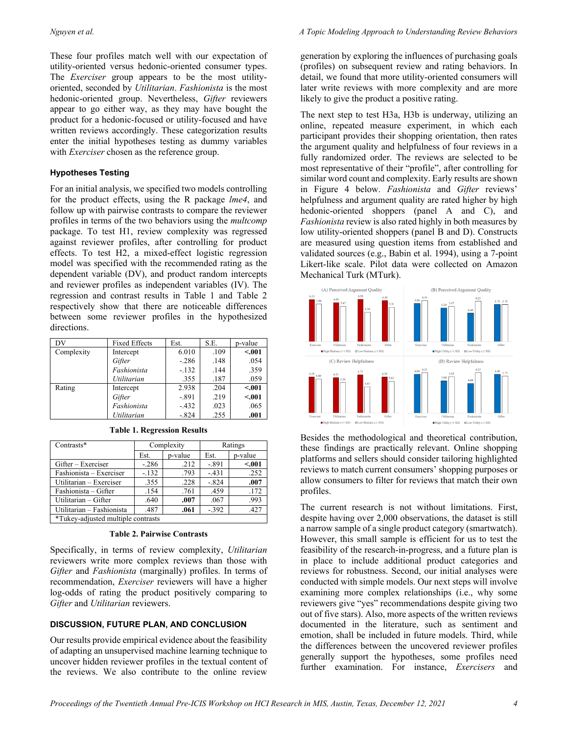These four profiles match well with our expectation of utility-oriented versus hedonic-oriented consumer types. The *Exerciser* group appears to be the most utilityoriented, seconded by *Utilitarian*. *Fashionista* is the most hedonic-oriented group. Nevertheless, *Gifter* reviewers appear to go either way, as they may have bought the product for a hedonic-focused or utility-focused and have written reviews accordingly. These categorization results enter the initial hypotheses testing as dummy variables with *Exerciser* chosen as the reference group.

## **Hypotheses Testing**

For an initial analysis, we specified two models controlling for the product effects, using the R package *lme4*, and follow up with pairwise contrasts to compare the reviewer profiles in terms of the two behaviors using the *multcomp* package. To test H1, review complexity was regressed against reviewer profiles, after controlling for product effects. To test H2, a mixed-effect logistic regression model was specified with the recommended rating as the dependent variable (DV), and product random intercepts and reviewer profiles as independent variables (IV). The regression and contrast results in Table 1 and Table 2 respectively show that there are noticeable differences between some reviewer profiles in the hypothesized directions.

| DV         | <b>Fixed Effects</b> | Est.    | S.E. | p-value |
|------------|----------------------|---------|------|---------|
| Complexity | Intercept            | 6.010   | .109 | < .001  |
|            | Gifter               | $-.286$ | .148 | .054    |
|            | Fashionista          | $-.132$ | .144 | .359    |
|            | Utilitarian          | .355    | .187 | .059    |
| Rating     | Intercept            | 2.938   | .204 | < .001  |
|            | Gifter               | $-.891$ | .219 | < .001  |
|            | Fashionista          | $-.432$ | .023 | .065    |
|            | Utilitarian          | $-.824$ | .255 | .001    |

| Contrasts*                         | Complexity |         | Ratings |         |  |  |
|------------------------------------|------------|---------|---------|---------|--|--|
|                                    | Est.       | p-value | Est.    | p-value |  |  |
| Gifter – Exerciser                 | $-.286$    | .212    | $-.891$ | < .001  |  |  |
| Fashionista – Exerciser            | $-.132$    | .793    | $-.431$ | .252    |  |  |
| Utilitarian - Exerciser            | .355       | .228    | $-.824$ | .007    |  |  |
| Fashionista – Gifter               | .154       | .761    | .459    | .172    |  |  |
| Utilitarian - Gifter               | .640       | .007    | .067    | .993    |  |  |
| Utilitarian - Fashionista          | .487       | .061    | $-.392$ | .427    |  |  |
| *Tukey-adjusted multiple contrasts |            |         |         |         |  |  |

**Table 1. Regression Results**

#### **Table 2. Pairwise Contrasts**

Specifically, in terms of review complexity, *Utilitarian* reviewers write more complex reviews than those with *Gifter* and *Fashionista* (marginally) profiles. In terms of recommendation, *Exerciser* reviewers will have a higher log-odds of rating the product positively comparing to *Gifter* and *Utilitarian* reviewers.

## **DISCUSSION, FUTURE PLAN, AND CONCLUSION**

Our results provide empirical evidence about the feasibility of adapting an unsupervised machine learning technique to uncover hidden reviewer profiles in the textual content of the reviews. We also contribute to the online review

generation by exploring the influences of purchasing goals (profiles) on subsequent review and rating behaviors. In detail, we found that more utility-oriented consumers will later write reviews with more complexity and are more likely to give the product a positive rating.

The next step to test H3a, H3b is underway, utilizing an online, repeated measure experiment, in which each participant provides their shopping orientation, then rates the argument quality and helpfulness of four reviews in a fully randomized order. The reviews are selected to be most representative of their "profile", after controlling for similar word count and complexity. Early results are shown in Figure 4 below. *Fashionista* and *Gifter* reviews' helpfulness and argument quality are rated higher by high hedonic-oriented shoppers (panel A and C), and *Fashionista* review is also rated highly in both measures by low utility-oriented shoppers (panel B and D). Constructs are measured using question items from established and validated sources (e.g., Babin et al. 1994), using a 7-point Likert-like scale. Pilot data were collected on Amazon Mechanical Turk (MTurk).



Besides the methodological and theoretical contribution, these findings are practically relevant. Online shopping platforms and sellers should consider tailoring highlighted reviews to match current consumers' shopping purposes or allow consumers to filter for reviews that match their own profiles.

The current research is not without limitations. First, despite having over 2,000 observations, the dataset is still a narrow sample of a single product category (smartwatch). However, this small sample is efficient for us to test the feasibility of the research-in-progress, and a future plan is in place to include additional product categories and reviews for robustness. Second, our initial analyses were conducted with simple models. Our next steps will involve examining more complex relationships (i.e., why some reviewers give "yes" recommendations despite giving two out of five stars). Also, more aspects of the written reviews documented in the literature, such as sentiment and emotion, shall be included in future models. Third, while the differences between the uncovered reviewer profiles generally support the hypotheses, some profiles need further examination. For instance, *Exercisers* and